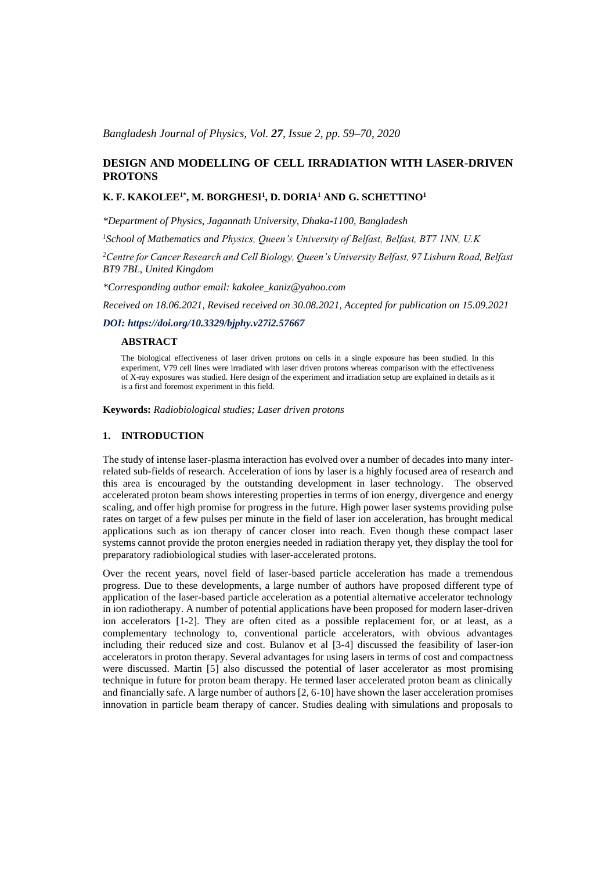*Bangladesh Journal of Physics, Vol. 27, Issue 2, pp. 59–70, 2020*

# **DESIGN AND MODELLING OF CELL IRRADIATION WITH LASER-DRIVEN PROTONS**

### **K. F. KAKOLEE1\* , M. BORGHESI<sup>1</sup> , D. DORIA<sup>1</sup> AND G. SCHETTINO<sup>1</sup>**

*\*Department of Physics, Jagannath University, Dhaka-1100, Bangladesh*

*<sup>1</sup>School of Mathematics and Physics, Queen's University of Belfast, Belfast, BT7 1NN, U.K*

*<sup>2</sup>Centre for Cancer Research and Cell Biology, Queen's University Belfast, 97 Lisburn Road, Belfast BT9 7BL, United Kingdom*

*\*Corresponding author email: kakolee\_kaniz@yahoo.com*

*Received on 18.06.2021, Revised received on 30.08.2021, Accepted for publication on 15.09.2021*

## *DOI: https://doi.org/10.3329/bjphy.v27i2.57667*

#### **ABSTRACT**

The biological effectiveness of laser driven protons on cells in a single exposure has been studied. In this experiment, V79 cell lines were irradiated with laser driven protons whereas comparison with the effectiveness of X-ray exposures was studied. Here design of the experiment and irradiation setup are explained in details as it is a first and foremost experiment in this field.

**Keywords:** *Radiobiological studies; Laser driven protons*

## **1. INTRODUCTION**

The study of intense laser-plasma interaction has evolved over a number of decades into many interrelated sub-fields of research. Acceleration of ions by laser is a highly focused area of research and this area is encouraged by the outstanding development in laser technology. The observed accelerated proton beam shows interesting properties in terms of ion energy, divergence and energy scaling, and offer high promise for progress in the future. High power laser systems providing pulse rates on target of a few pulses per minute in the field of laser ion acceleration, has brought medical applications such as ion therapy of cancer closer into reach. Even though these compact laser systems cannot provide the proton energies needed in radiation therapy yet, they display the tool for preparatory radiobiological studies with laser-accelerated protons.

Over the recent years, novel field of laser-based particle acceleration has made a tremendous progress. Due to these developments, a large number of authors have proposed different type of application of the laser-based particle acceleration as a potential alternative accelerator technology in ion radiotherapy. A number of potential applications have been proposed for modern laser-driven ion accelerators [1-2]. They are often cited as a possible replacement for, or at least, as a complementary technology to, conventional particle accelerators, with obvious advantages including their reduced size and cost. Bulanov et al [3-4] discussed the feasibility of laser-ion accelerators in proton therapy. Several advantages for using lasers in terms of cost and compactness were discussed. Martin [5] also discussed the potential of laser accelerator as most promising technique in future for proton beam therapy. He termed laser accelerated proton beam as clinically and financially safe. A large number of authors [2, 6-10] have shown the laser acceleration promises innovation in particle beam therapy of cancer. Studies dealing with simulations and proposals to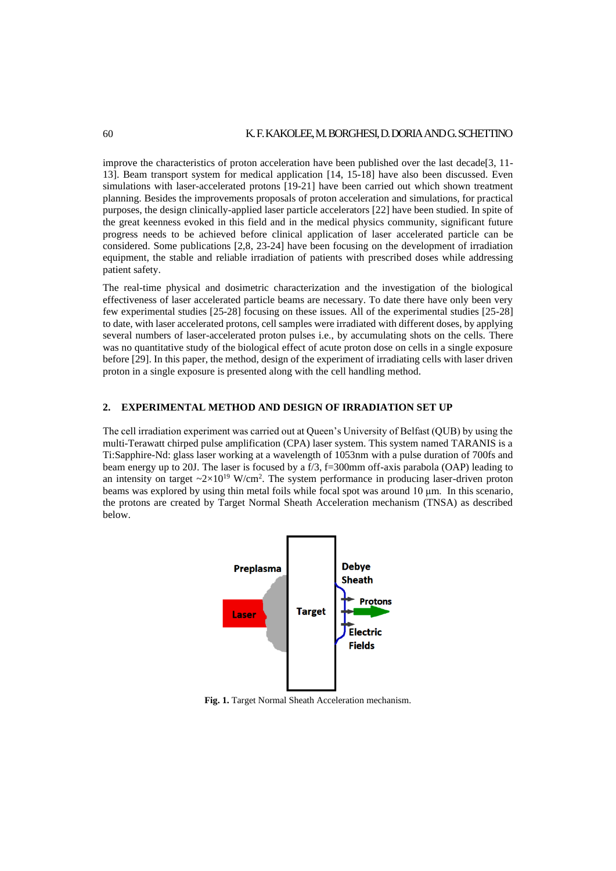improve the characteristics of proton acceleration have been published over the last decade  $[3, 11-$ 13]. Beam transport system for medical application [14, 15-18] have also been discussed. Even simulations with laser-accelerated protons [19-21] have been carried out which shown treatment planning. Besides the improvements proposals of proton acceleration and simulations, for practical purposes, the design clinically-applied laser particle accelerators [22] have been studied. In spite of the great keenness evoked in this field and in the medical physics community, significant future progress needs to be achieved before clinical application of laser accelerated particle can be considered. Some publications [2,8, 23-24] have been focusing on the development of irradiation equipment, the stable and reliable irradiation of patients with prescribed doses while addressing patient safety.

The real-time physical and dosimetric characterization and the investigation of the biological effectiveness of laser accelerated particle beams are necessary. To date there have only been very few experimental studies [25-28] focusing on these issues. All of the experimental studies [25-28] to date, with laser accelerated protons, cell samples were irradiated with different doses, by applying several numbers of laser-accelerated proton pulses i.e., by accumulating shots on the cells. There was no quantitative study of the biological effect of acute proton dose on cells in a single exposure before [29]. In this paper, the method, design of the experiment of irradiating cells with laser driven proton in a single exposure is presented along with the cell handling method.

### **2. EXPERIMENTAL METHOD AND DESIGN OF IRRADIATION SET UP**

The cell irradiation experiment was carried out at Queen's University of Belfast (QUB) by using the multi-Terawatt chirped pulse amplification (CPA) laser system. This system named TARANIS is a Ti:Sapphire-Nd: glass laser working at a wavelength of 1053nm with a pulse duration of 700fs and beam energy up to 20J. The laser is focused by a f/3, f=300mm off-axis parabola (OAP) leading to an intensity on target  $\sim 2 \times 10^{19}$  W/cm<sup>2</sup>. The system performance in producing laser-driven proton beams was explored by using thin metal foils while focal spot was around 10 μm. In this scenario, the protons are created by Target Normal Sheath Acceleration mechanism (TNSA) as described below.



**Fig. 1.** Target Normal Sheath Acceleration mechanism.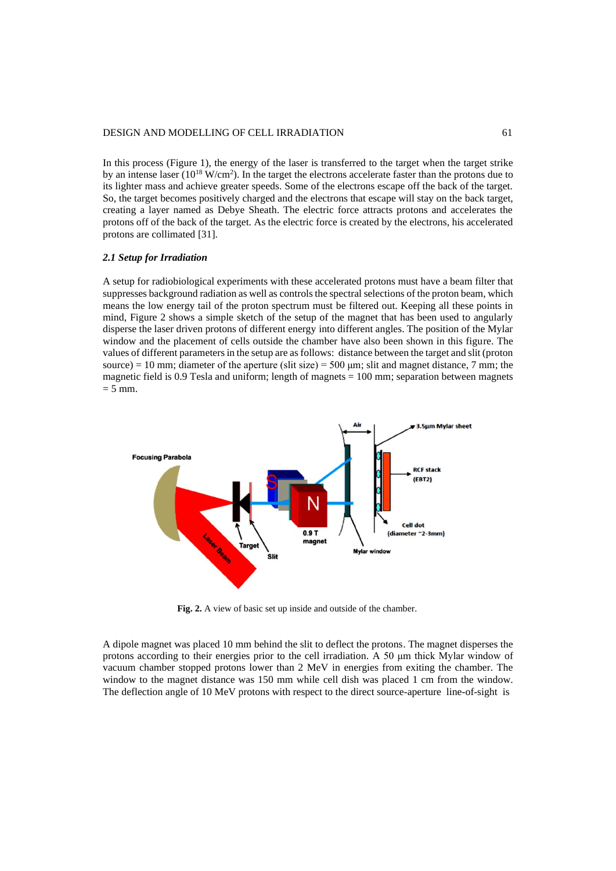#### DESIGN AND MODELLING OF CELL IRRADIATION 61

In this process (Figure 1), the energy of the laser is transferred to the target when the target strike by an intense laser  $(10^{18} \text{ W/cm}^2)$ . In the target the electrons accelerate faster than the protons due to its lighter mass and achieve greater speeds. Some of the electrons escape off the back of the target. So, the target becomes positively charged and the electrons that escape will stay on the back target, creating a layer named as Debye Sheath. The electric force attracts protons and accelerates the protons off of the back of the target. As the electric force is created by the electrons, his accelerated protons are collimated [31].

#### *2.1 Setup for Irradiation*

A setup for radiobiological experiments with these accelerated protons must have a beam filter that suppresses background radiation as well as controls the spectral selections of the proton beam, which means the low energy tail of the proton spectrum must be filtered out. Keeping all these points in mind, Figure 2 shows a simple sketch of the setup of the magnet that has been used to angularly disperse the laser driven protons of different energy into different angles. The position of the Mylar window and the placement of cells outside the chamber have also been shown in this figure. The values of different parameters in the setup are as follows: distance between the target and slit (proton source) = 10 mm; diameter of the aperture (slit size) = 500  $\mu$ m; slit and magnet distance, 7 mm; the magnetic field is 0.9 Tesla and uniform; length of magnets  $= 100$  mm; separation between magnets  $= 5$  mm.



**Fig. 2.** A view of basic set up inside and outside of the chamber.

A dipole magnet was placed 10 mm behind the slit to deflect the protons. The magnet disperses the protons according to their energies prior to the cell irradiation. A 50 μm thick Mylar window of vacuum chamber stopped protons lower than 2 MeV in energies from exiting the chamber. The window to the magnet distance was 150 mm while cell dish was placed 1 cm from the window. The deflection angle of 10 MeV protons with respect to the direct source-aperture line-of-sight is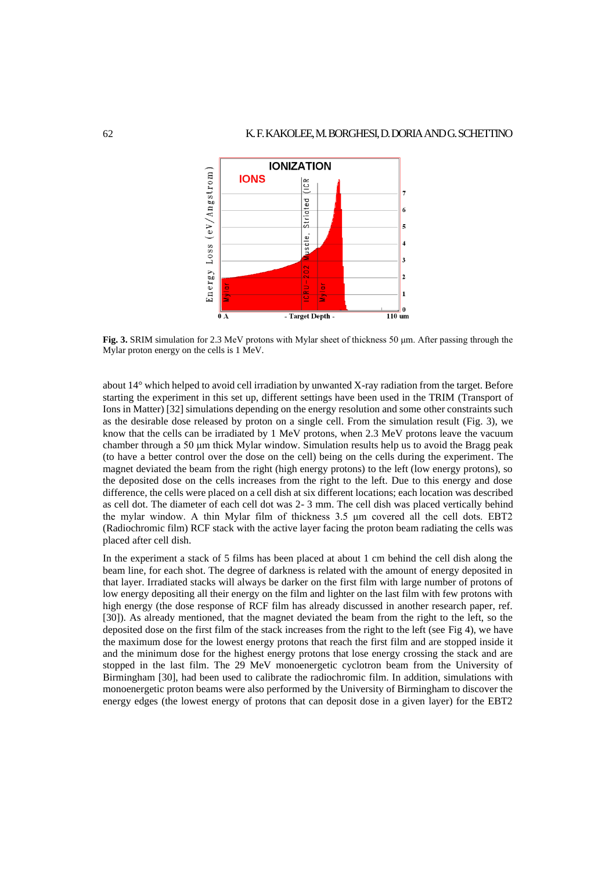

**Fig. 3.** SRIM simulation for 2.3 MeV protons with Mylar sheet of thickness 50 μm. After passing through the Mylar proton energy on the cells is 1 MeV.

about 14° which helped to avoid cell irradiation by unwanted X-ray radiation from the target. Before starting the experiment in this set up, different settings have been used in the TRIM (Transport of Ions in Matter) [32] simulations depending on the energy resolution and some other constraints such as the desirable dose released by proton on a single cell. From the simulation result (Fig. 3), we know that the cells can be irradiated by 1 MeV protons, when 2.3 MeV protons leave the vacuum chamber through a 50 μm thick Mylar window. Simulation results help us to avoid the Bragg peak (to have a better control over the dose on the cell) being on the cells during the experiment. The magnet deviated the beam from the right (high energy protons) to the left (low energy protons), so the deposited dose on the cells increases from the right to the left. Due to this energy and dose difference, the cells were placed on a cell dish at six different locations; each location was described as cell dot. The diameter of each cell dot was 2- 3 mm. The cell dish was placed vertically behind the mylar window. A thin Mylar film of thickness 3.5 μm covered all the cell dots. EBT2 (Radiochromic film) RCF stack with the active layer facing the proton beam radiating the cells was placed after cell dish.

In the experiment a stack of 5 films has been placed at about 1 cm behind the cell dish along the beam line, for each shot. The degree of darkness is related with the amount of energy deposited in that layer. Irradiated stacks will always be darker on the first film with large number of protons of low energy depositing all their energy on the film and lighter on the last film with few protons with high energy (the dose response of RCF film has already discussed in another research paper, ref. [30]). As already mentioned, that the magnet deviated the beam from the right to the left, so the deposited dose on the first film of the stack increases from the right to the left (see Fig 4), we have the maximum dose for the lowest energy protons that reach the first film and are stopped inside it and the minimum dose for the highest energy protons that lose energy crossing the stack and are stopped in the last film. The 29 MeV monoenergetic cyclotron beam from the University of Birmingham [30], had been used to calibrate the radiochromic film. In addition, simulations with monoenergetic proton beams were also performed by the University of Birmingham to discover the energy edges (the lowest energy of protons that can deposit dose in a given layer) for the EBT2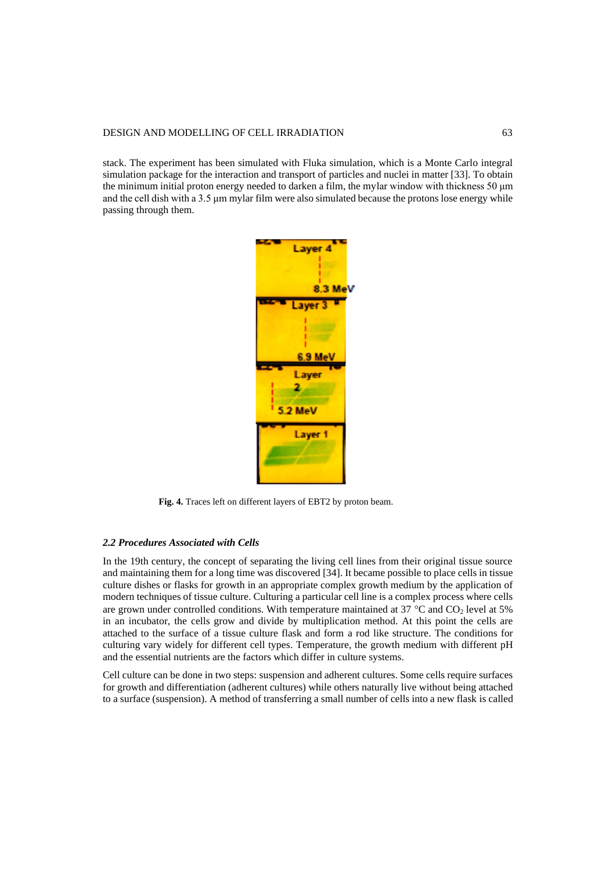### DESIGN AND MODELLING OF CELL IRRADIATION 63

stack. The experiment has been simulated with Fluka simulation, which is a Monte Carlo integral simulation package for the interaction and transport of particles and nuclei in matter [33]. To obtain the minimum initial proton energy needed to darken a film, the mylar window with thickness 50 μm and the cell dish with a 3.5 μm mylar film were also simulated because the protons lose energy while passing through them.



**Fig. 4.** Traces left on different layers of EBT2 by proton beam.

#### *2.2 Procedures Associated with Cells*

In the 19th century, the concept of separating the living cell lines from their original tissue source and maintaining them for a long time was discovered [34]. It became possible to place cells in tissue culture dishes or flasks for growth in an appropriate complex growth medium by the application of modern techniques of tissue culture. Culturing a particular cell line is a complex process where cells are grown under controlled conditions. With temperature maintained at 37 °C and  $CO<sub>2</sub>$  level at 5% in an incubator, the cells grow and divide by multiplication method. At this point the cells are attached to the surface of a tissue culture flask and form a rod like structure. The conditions for culturing vary widely for different cell types. Temperature, the growth medium with different pH and the essential nutrients are the factors which differ in culture systems.

Cell culture can be done in two steps: suspension and adherent cultures. Some cells require surfaces for growth and differentiation (adherent cultures) while others naturally live without being attached to a surface (suspension). A method of transferring a small number of cells into a new flask is called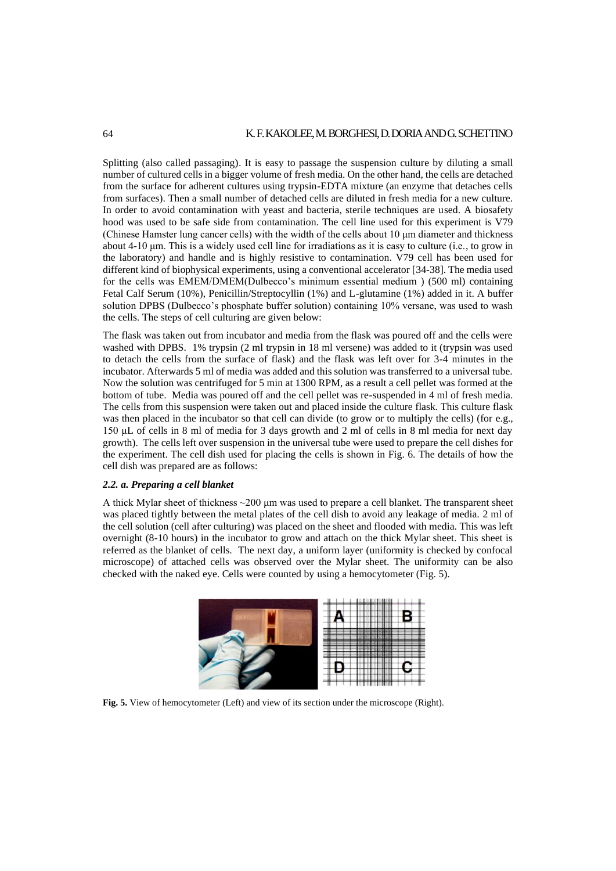Splitting (also called passaging). It is easy to passage the suspension culture by diluting a small number of cultured cells in a bigger volume of fresh media. On the other hand, the cells are detached from the surface for adherent cultures using trypsin-EDTA mixture (an enzyme that detaches cells from surfaces). Then a small number of detached cells are diluted in fresh media for a new culture. In order to avoid contamination with yeast and bacteria, sterile techniques are used. A biosafety hood was used to be safe side from contamination. The cell line used for this experiment is V79 (Chinese Hamster lung cancer cells) with the width of the cells about 10 μm diameter and thickness about 4-10 μm. This is a widely used cell line for irradiations as it is easy to culture (i.e., to grow in the laboratory) and handle and is highly resistive to contamination. V79 cell has been used for different kind of biophysical experiments, using a conventional accelerator [34-38]. The media used for the cells was EMEM/DMEM(Dulbecco's minimum essential medium ) (500 ml) containing Fetal Calf Serum (10%), Penicillin/Streptocyllin (1%) and L-glutamine (1%) added in it. A buffer solution DPBS (Dulbecco's phosphate buffer solution) containing 10% versane, was used to wash the cells. The steps of cell culturing are given below:

The flask was taken out from incubator and media from the flask was poured off and the cells were washed with DPBS. 1% trypsin (2 ml trypsin in 18 ml versene) was added to it (trypsin was used to detach the cells from the surface of flask) and the flask was left over for 3-4 minutes in the incubator. Afterwards 5 ml of media was added and this solution was transferred to a universal tube. Now the solution was centrifuged for 5 min at 1300 RPM, as a result a cell pellet was formed at the bottom of tube. Media was poured off and the cell pellet was re-suspended in 4 ml of fresh media. The cells from this suspension were taken out and placed inside the culture flask. This culture flask was then placed in the incubator so that cell can divide (to grow or to multiply the cells) (for e.g., 150 μL of cells in 8 ml of media for 3 days growth and 2 ml of cells in 8 ml media for next day growth). The cells left over suspension in the universal tube were used to prepare the cell dishes for the experiment. The cell dish used for placing the cells is shown in Fig. 6. The details of how the cell dish was prepared are as follows:

### *2.2. a. Preparing a cell blanket*

A thick Mylar sheet of thickness ~200 μm was used to prepare a cell blanket. The transparent sheet was placed tightly between the metal plates of the cell dish to avoid any leakage of media. 2 ml of the cell solution (cell after culturing) was placed on the sheet and flooded with media. This was left overnight (8-10 hours) in the incubator to grow and attach on the thick Mylar sheet. This sheet is referred as the blanket of cells. The next day, a uniform layer (uniformity is checked by confocal microscope) of attached cells was observed over the Mylar sheet. The uniformity can be also checked with the naked eye. Cells were counted by using a hemocytometer (Fig. 5).



**Fig. 5.** View of hemocytometer (Left) and view of its section under the microscope (Right).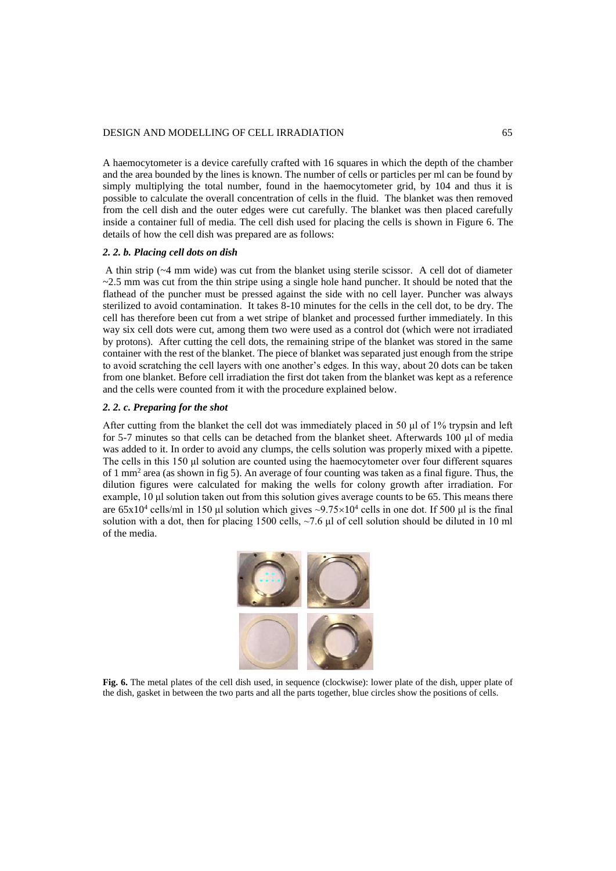#### DESIGN AND MODELLING OF CELL IRRADIATION 65

A haemocytometer is a device carefully crafted with 16 squares in which the depth of the chamber and the area bounded by the lines is known. The number of cells or particles per ml can be found by simply multiplying the total number, found in the haemocytometer grid, by 104 and thus it is possible to calculate the overall concentration of cells in the fluid. The blanket was then removed from the cell dish and the outer edges were cut carefully. The blanket was then placed carefully inside a container full of media. The cell dish used for placing the cells is shown in Figure 6. The details of how the cell dish was prepared are as follows:

### *2. 2. b. Placing cell dots on dish*

A thin strip (~4 mm wide) was cut from the blanket using sterile scissor. A cell dot of diameter  $\sim$  2.5 mm was cut from the thin stripe using a single hole hand puncher. It should be noted that the flathead of the puncher must be pressed against the side with no cell layer. Puncher was always sterilized to avoid contamination. It takes 8-10 minutes for the cells in the cell dot, to be dry. The cell has therefore been cut from a wet stripe of blanket and processed further immediately. In this way six cell dots were cut, among them two were used as a control dot (which were not irradiated by protons). After cutting the cell dots, the remaining stripe of the blanket was stored in the same container with the rest of the blanket. The piece of blanket was separated just enough from the stripe to avoid scratching the cell layers with one another's edges. In this way, about 20 dots can be taken from one blanket. Before cell irradiation the first dot taken from the blanket was kept as a reference and the cells were counted from it with the procedure explained below.

#### *2. 2. c. Preparing for the shot*

After cutting from the blanket the cell dot was immediately placed in 50 μl of 1% trypsin and left for 5-7 minutes so that cells can be detached from the blanket sheet. Afterwards 100 μl of media was added to it. In order to avoid any clumps, the cells solution was properly mixed with a pipette. The cells in this 150 μl solution are counted using the haemocytometer over four different squares of 1 mm<sup>2</sup> area (as shown in fig 5). An average of four counting was taken as a final figure. Thus, the dilution figures were calculated for making the wells for colony growth after irradiation. For example, 10 μl solution taken out from this solution gives average counts to be 65. This means there are  $65x10^4$  cells/ml in 150 µl solution which gives  $\sim 9.75 \times 10^4$  cells in one dot. If 500 µl is the final solution with a dot, then for placing 1500 cells,  $\sim$ 7.6  $\mu$ l of cell solution should be diluted in 10 ml of the media.



**Fig. 6.** The metal plates of the cell dish used, in sequence (clockwise): lower plate of the dish, upper plate of the dish, gasket in between the two parts and all the parts together, blue circles show the positions of cells.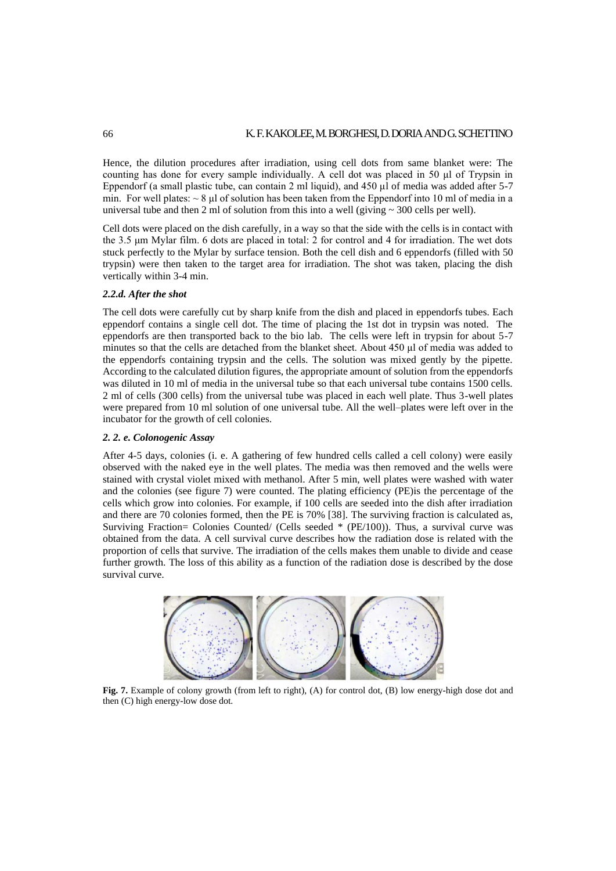Hence, the dilution procedures after irradiation, using cell dots from same blanket were: The counting has done for every sample individually. A cell dot was placed in 50 μl of Trypsin in Eppendorf (a small plastic tube, can contain 2 ml liquid), and 450 μl of media was added after 5-7 min. For well plates:  $\sim 8$  µl of solution has been taken from the Eppendorf into 10 ml of media in a universal tube and then 2 ml of solution from this into a well (giving  $\sim$  300 cells per well).

Cell dots were placed on the dish carefully, in a way so that the side with the cells is in contact with the 3.5 μm Mylar film. 6 dots are placed in total: 2 for control and 4 for irradiation. The wet dots stuck perfectly to the Mylar by surface tension. Both the cell dish and 6 eppendorfs (filled with 50 trypsin) were then taken to the target area for irradiation. The shot was taken, placing the dish vertically within 3-4 min.

## *2.2.d. After the shot*

The cell dots were carefully cut by sharp knife from the dish and placed in eppendorfs tubes. Each eppendorf contains a single cell dot. The time of placing the 1st dot in trypsin was noted. The eppendorfs are then transported back to the bio lab. The cells were left in trypsin for about 5-7 minutes so that the cells are detached from the blanket sheet. About 450 μl of media was added to the eppendorfs containing trypsin and the cells. The solution was mixed gently by the pipette. According to the calculated dilution figures, the appropriate amount of solution from the eppendorfs was diluted in 10 ml of media in the universal tube so that each universal tube contains 1500 cells. 2 ml of cells (300 cells) from the universal tube was placed in each well plate. Thus 3-well plates were prepared from 10 ml solution of one universal tube. All the well–plates were left over in the incubator for the growth of cell colonies.

### *2. 2. e. Colonogenic Assay*

After 4-5 days, colonies (i. e. A gathering of few hundred cells called a cell colony) were easily observed with the naked eye in the well plates. The media was then removed and the wells were stained with crystal violet mixed with methanol. After 5 min, well plates were washed with water and the colonies (see figure 7) were counted. The plating efficiency (PE)is the percentage of the cells which grow into colonies. For example, if 100 cells are seeded into the dish after irradiation and there are 70 colonies formed, then the PE is 70% [38]. The surviving fraction is calculated as, Surviving Fraction= Colonies Counted/ (Cells seeded \* (PE/100)). Thus, a survival curve was obtained from the data. A cell survival curve describes how the radiation dose is related with the proportion of cells that survive. The irradiation of the cells makes them unable to divide and cease further growth. The loss of this ability as a function of the radiation dose is described by the dose survival curve.



**Fig. 7.** Example of colony growth (from left to right), (A) for control dot, (B) low energy-high dose dot and then (C) high energy-low dose dot.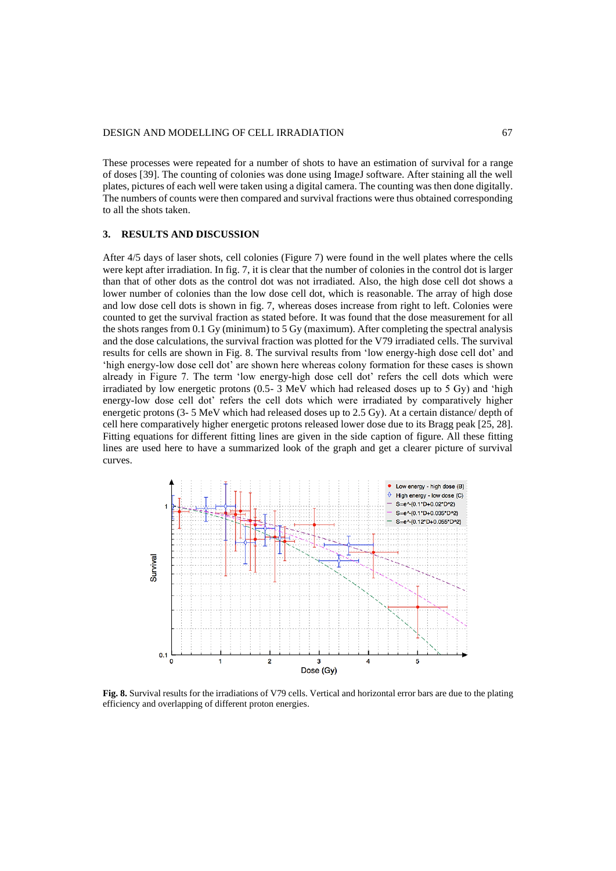These processes were repeated for a number of shots to have an estimation of survival for a range of doses [39]. The counting of colonies was done using ImageJ software. After staining all the well plates, pictures of each well were taken using a digital camera. The counting was then done digitally. The numbers of counts were then compared and survival fractions were thus obtained corresponding to all the shots taken.

## **3. RESULTS AND DISCUSSION**

After 4/5 days of laser shots, cell colonies (Figure 7) were found in the well plates where the cells were kept after irradiation. In fig. 7, it is clear that the number of colonies in the control dot is larger than that of other dots as the control dot was not irradiated. Also, the high dose cell dot shows a lower number of colonies than the low dose cell dot, which is reasonable. The array of high dose and low dose cell dots is shown in fig. 7, whereas doses increase from right to left. Colonies were counted to get the survival fraction as stated before. It was found that the dose measurement for all the shots ranges from 0.1 Gy (minimum) to 5 Gy (maximum). After completing the spectral analysis and the dose calculations, the survival fraction was plotted for the V79 irradiated cells. The survival results for cells are shown in Fig. 8. The survival results from 'low energy-high dose cell dot' and 'high energy-low dose cell dot' are shown here whereas colony formation for these cases is shown already in Figure 7. The term 'low energy-high dose cell dot' refers the cell dots which were irradiated by low energetic protons  $(0.5 - 3 \text{ MeV})$  which had released doses up to 5 Gy) and 'high energy-low dose cell dot' refers the cell dots which were irradiated by comparatively higher energetic protons (3- 5 MeV which had released doses up to 2.5 Gy). At a certain distance/ depth of cell here comparatively higher energetic protons released lower dose due to its Bragg peak [25, 28]. Fitting equations for different fitting lines are given in the side caption of figure. All these fitting lines are used here to have a summarized look of the graph and get a clearer picture of survival curves.



**Fig. 8.** Survival results for the irradiations of V79 cells. Vertical and horizontal error bars are due to the plating efficiency and overlapping of different proton energies.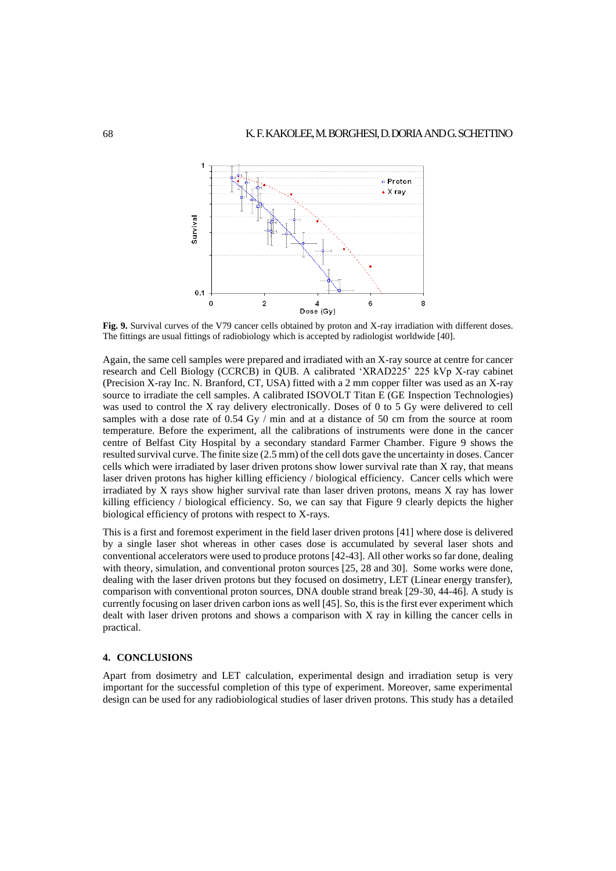

**Fig. 9.** Survival curves of the V79 cancer cells obtained by proton and X-ray irradiation with different doses. The fittings are usual fittings of radiobiology which is accepted by radiologist worldwide [40].

Again, the same cell samples were prepared and irradiated with an X-ray source at centre for cancer research and Cell Biology (CCRCB) in QUB. A calibrated 'XRAD225' 225 kVp X-ray cabinet (Precision X-ray Inc. N. Branford, CT, USA) fitted with a 2 mm copper filter was used as an X-ray source to irradiate the cell samples. A calibrated ISOVOLT Titan E (GE Inspection Technologies) was used to control the X ray delivery electronically. Doses of 0 to 5 Gy were delivered to cell samples with a dose rate of 0.54 Gy / min and at a distance of 50 cm from the source at room temperature. Before the experiment, all the calibrations of instruments were done in the cancer centre of Belfast City Hospital by a secondary standard Farmer Chamber. Figure 9 shows the resulted survival curve. The finite size (2.5 mm) of the cell dots gave the uncertainty in doses. Cancer cells which were irradiated by laser driven protons show lower survival rate than X ray, that means laser driven protons has higher killing efficiency / biological efficiency. Cancer cells which were irradiated by X rays show higher survival rate than laser driven protons, means X ray has lower killing efficiency / biological efficiency. So, we can say that Figure 9 clearly depicts the higher biological efficiency of protons with respect to X-rays.

This is a first and foremost experiment in the field laser driven protons [41] where dose is delivered by a single laser shot whereas in other cases dose is accumulated by several laser shots and conventional accelerators were used to produce protons [42-43]. All other works so far done, dealing with theory, simulation, and conventional proton sources [25, 28 and 30]. Some works were done, dealing with the laser driven protons but they focused on dosimetry, LET (Linear energy transfer), comparison with conventional proton sources, DNA double strand break [29-30, 44-46]. A study is currently focusing on laser driven carbon ions as well [45]. So, this is the first ever experiment which dealt with laser driven protons and shows a comparison with X ray in killing the cancer cells in practical.

### **4. CONCLUSIONS**

Apart from dosimetry and LET calculation, experimental design and irradiation setup is very important for the successful completion of this type of experiment. Moreover, same experimental design can be used for any radiobiological studies of laser driven protons. This study has a detailed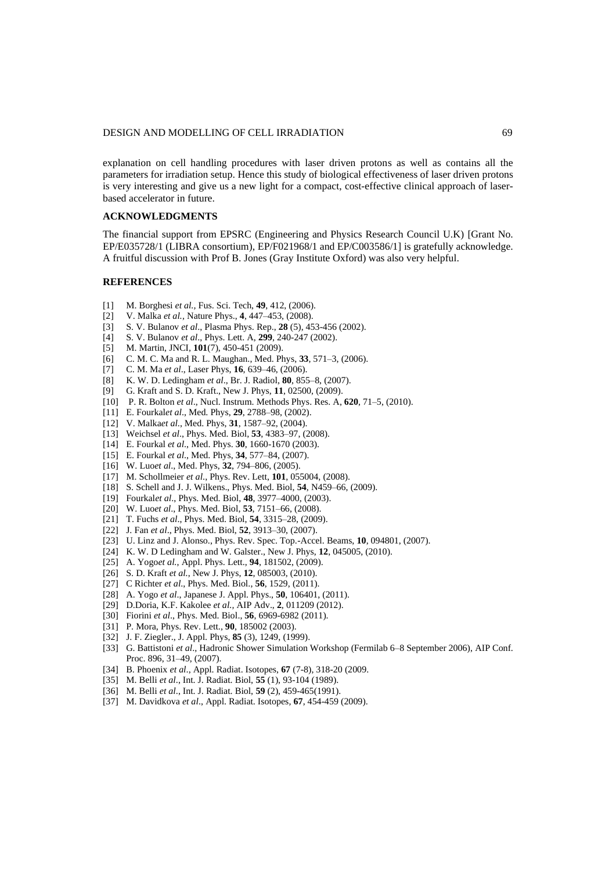explanation on cell handling procedures with laser driven protons as well as contains all the parameters for irradiation setup. Hence this study of biological effectiveness of laser driven protons is very interesting and give us a new light for a compact, cost-effective clinical approach of laserbased accelerator in future.

## **ACKNOWLEDGMENTS**

The financial support from EPSRC (Engineering and Physics Research Council U.K) [Grant No. EP/E035728/1 (LIBRA consortium), EP/F021968/1 and EP/C003586/1] is gratefully acknowledge. A fruitful discussion with Prof B. Jones (Gray Institute Oxford) was also very helpful.

## **REFERENCES**

- [1] M. Borghesi *et al.,* Fus. Sci. Tech, **49**, 412, (2006).
- [2] V. Malka *et al.,* Nature Phys., **4**, 447–453, (2008).
- [3] S. V. Bulanov *et al*., Plasma Phys. Rep., **28** (5), 453-456 (2002).
- [4] S. V. Bulanov *et al*., Phys. Lett. A, **299**, 240-247 (2002).
- [5] M. Martin, JNCI*,* **101**(7), 450-451 (2009).
- [6] C. M. C. Ma and R. L. Maughan., Med. Phys, **33**, 571–3, (2006).
- [7] C. M. Ma *et al*., Laser Phys, **16**, 639–46, (2006).
- [8] K. W. D. Ledingham *et al*., Br. J. Radiol, **80**, 855–8, (2007).
- [9] G. Kraft and S. D. Kraft., New J. Phys, **11**, 02500, (2009).
- [10] P. R. Bolton *et al*., Nucl. Instrum. Methods Phys. Res. A, **620**, 71–5, (2010).
- [11] E. Fourkal*et al*., Med. Phys, **29**, 2788–98, (2002).
- [12] V. Malka*et al*., Med. Phys, **31**, 1587–92, (2004).
- [13] Weichsel *et al*., Phys. Med. Biol, **53**, 4383–97, (2008).
- [14] E. Fourkal *et al*., Med. Phys. **30**, 1660-1670 (2003).
- [15] E. Fourkal *et al*., Med. Phys, **34**, 577–84, (2007).
- [16] W. Luo*et al*., Med. Phys, **32**, 794–806, (2005).
- [17] M. Schollmeier *et al*., Phys. Rev. Lett, **101**, 055004, (2008).
- [18] S. Schell and J. J. Wilkens., Phys. Med. Biol, **54**, N459–66, (2009).
- [19] Fourkal*et al*., Phys. Med. Biol, **48**, 3977–4000, (2003).
- [20] W. Luo*et al*., Phys. Med. Biol, **53**, 7151–66, (2008).
- [21] T. Fuchs *et al*., Phys. Med. Biol, **54**, 3315–28, (2009).
- [22] J. Fan *et al*., Phys. Med. Biol, **52**, 3913–30, (2007).
- [23] U. Linz and J. Alonso., Phys. Rev. Spec. Top.-Accel. Beams, **10**, 094801, (2007).
- [24] K. W. D Ledingham and W. Galster., New J. Phys, **12**, 045005, (2010).
- [25] A. Yogo*et al.*, Appl. Phys. Lett., **94**, 181502, (2009).
- [26] S. D. Kraft *et al.*, New J. Phys, **12**, 085003, (2010).
- [27] C Richter *et al*., Phys. Med. Biol., **56**, 1529, (2011).
- [28] A. Yogo *et al*., Japanese J. Appl. Phys., **50**, 106401, (2011).
- [29] D.Doria, K.F. Kakolee *et al.,* AIP Adv., **2**, 011209 (2012).
- [30] Fiorini *et al*., Phys. Med. Biol., **56**, 6969-6982 (2011).
- [31] P. Mora, Phys. Rev. Lett., **90**, 185002 (2003).
- [32] J. F. Ziegler., J. Appl. Phys, **85** (3), 1249, (1999).
- [33] G. Battistoni *et al*., Hadronic Shower Simulation Workshop (Fermilab 6–8 September 2006), AIP Conf. Proc. 896, 31–49, (2007).
- [34] B. Phoenix *et al*., Appl. Radiat. Isotopes, **67** (7-8), 318-20 (2009.
- [35] M. Belli *et al*., Int. J. Radiat. Biol, **55** (1), 93-104 (1989).
- [36] M. Belli *et al*., Int. J. Radiat. Biol, **59** (2), 459-465(1991).
- [37] M. Davidkova *et al*., Appl. Radiat. Isotopes*,* **67**, 454-459 (2009).